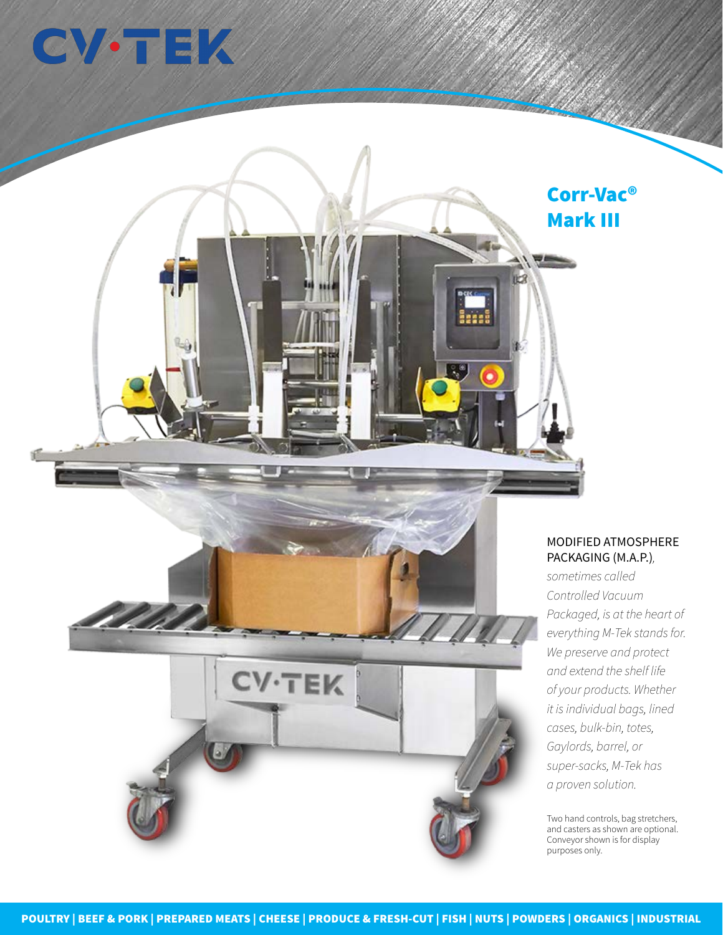## **CV-TEK**